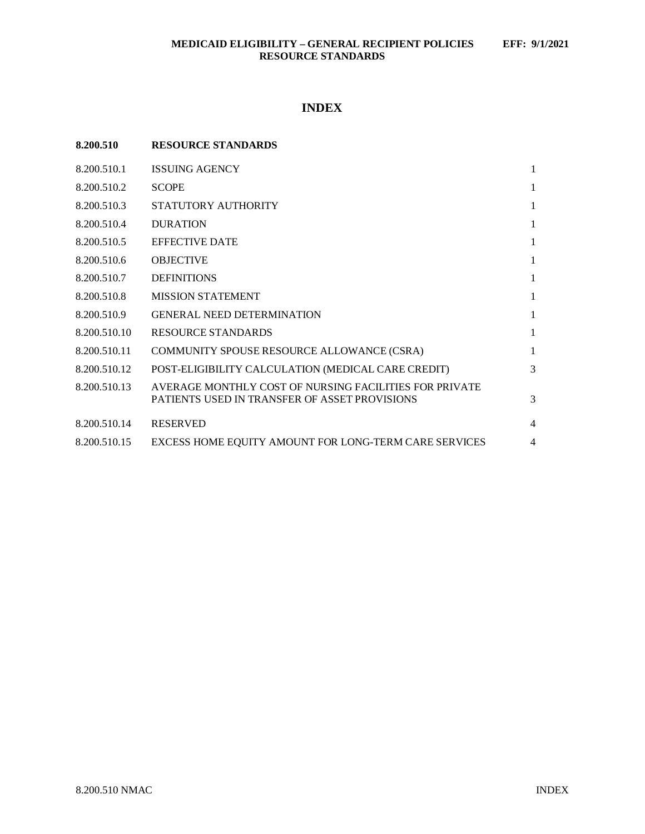# **INDEX**

| 8.200.510    | <b>RESOURCE STANDARDS</b>                                                                               |                |
|--------------|---------------------------------------------------------------------------------------------------------|----------------|
| 8.200.510.1  | <b>ISSUING AGENCY</b>                                                                                   | 1              |
| 8.200.510.2  | <b>SCOPE</b>                                                                                            | 1              |
| 8.200.510.3  | STATUTORY AUTHORITY                                                                                     | 1              |
| 8.200.510.4  | <b>DURATION</b>                                                                                         | 1              |
| 8.200.510.5  | <b>EFFECTIVE DATE</b>                                                                                   | 1              |
| 8.200.510.6  | <b>OBJECTIVE</b>                                                                                        | 1              |
| 8.200.510.7  | <b>DEFINITIONS</b>                                                                                      | 1              |
| 8.200.510.8  | <b>MISSION STATEMENT</b>                                                                                | 1              |
| 8.200.510.9  | <b>GENERAL NEED DETERMINATION</b>                                                                       | 1              |
| 8.200.510.10 | <b>RESOURCE STANDARDS</b>                                                                               | 1              |
| 8.200.510.11 | COMMUNITY SPOUSE RESOURCE ALLOWANCE (CSRA)                                                              | 1              |
| 8.200.510.12 | POST-ELIGIBILITY CALCULATION (MEDICAL CARE CREDIT)                                                      | 3              |
| 8.200.510.13 | AVERAGE MONTHLY COST OF NURSING FACILITIES FOR PRIVATE<br>PATIENTS USED IN TRANSFER OF ASSET PROVISIONS | 3              |
| 8.200.510.14 | <b>RESERVED</b>                                                                                         | $\overline{4}$ |
| 8.200.510.15 | EXCESS HOME EQUITY AMOUNT FOR LONG-TERM CARE SERVICES                                                   | 4              |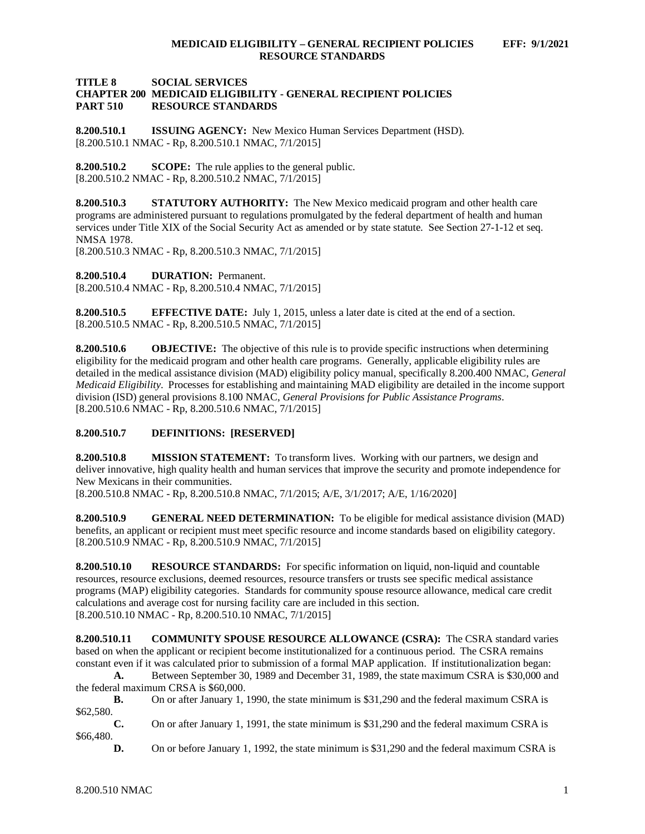### **TITLE 8 SOCIAL SERVICES CHAPTER 200 MEDICAID ELIGIBILITY - GENERAL RECIPIENT POLICIES RESOURCE STANDARDS**

<span id="page-1-0"></span>**8.200.510.1 ISSUING AGENCY:** New Mexico Human Services Department (HSD). [8.200.510.1 NMAC - Rp, 8.200.510.1 NMAC, 7/1/2015]

<span id="page-1-1"></span>**8.200.510.2 SCOPE:** The rule applies to the general public. [8.200.510.2 NMAC - Rp, 8.200.510.2 NMAC, 7/1/2015]

<span id="page-1-2"></span>**8.200.510.3 STATUTORY AUTHORITY:** The New Mexico medicaid program and other health care programs are administered pursuant to regulations promulgated by the federal department of health and human services under Title XIX of the Social Security Act as amended or by state statute. See Section 27-1-12 et seq. NMSA 1978.

[8.200.510.3 NMAC - Rp, 8.200.510.3 NMAC, 7/1/2015]

<span id="page-1-3"></span>**8.200.510.4 DURATION:** Permanent. [8.200.510.4 NMAC - Rp, 8.200.510.4 NMAC, 7/1/2015]

<span id="page-1-4"></span>**8.200.510.5 EFFECTIVE DATE:** July 1, 2015, unless a later date is cited at the end of a section. [8.200.510.5 NMAC - Rp, 8.200.510.5 NMAC, 7/1/2015]

<span id="page-1-5"></span>**8.200.510.6 OBJECTIVE:** The objective of this rule is to provide specific instructions when determining eligibility for the medicaid program and other health care programs. Generally, applicable eligibility rules are detailed in the medical assistance division (MAD) eligibility policy manual, specifically 8.200.400 NMAC, *General Medicaid Eligibility*. Processes for establishing and maintaining MAD eligibility are detailed in the income support division (ISD) general provisions 8.100 NMAC, *General Provisions for Public Assistance Programs*. [8.200.510.6 NMAC - Rp, 8.200.510.6 NMAC, 7/1/2015]

<span id="page-1-6"></span>**8.200.510.7 DEFINITIONS: [RESERVED]**

<span id="page-1-7"></span>**8.200.510.8 MISSION STATEMENT:** To transform lives. Working with our partners, we design and deliver innovative, high quality health and human services that improve the security and promote independence for New Mexicans in their communities.

[8.200.510.8 NMAC - Rp, 8.200.510.8 NMAC, 7/1/2015; A/E, 3/1/2017; A/E, 1/16/2020]

<span id="page-1-8"></span>**8.200.510.9 GENERAL NEED DETERMINATION:** To be eligible for medical assistance division (MAD) benefits, an applicant or recipient must meet specific resource and income standards based on eligibility category. [8.200.510.9 NMAC - Rp, 8.200.510.9 NMAC, 7/1/2015]

<span id="page-1-9"></span>**8.200.510.10 RESOURCE STANDARDS:** For specific information on liquid, non-liquid and countable resources, resource exclusions, deemed resources, resource transfers or trusts see specific medical assistance programs (MAP) eligibility categories. Standards for community spouse resource allowance, medical care credit calculations and average cost for nursing facility care are included in this section. [8.200.510.10 NMAC - Rp, 8.200.510.10 NMAC, 7/1/2015]

<span id="page-1-10"></span>**8.200.510.11 COMMUNITY SPOUSE RESOURCE ALLOWANCE (CSRA):** The CSRA standard varies based on when the applicant or recipient become institutionalized for a continuous period. The CSRA remains constant even if it was calculated prior to submission of a formal MAP application. If institutionalization began:

**A.** Between September 30, 1989 and December 31, 1989, the state maximum CSRA is \$30,000 and the federal maximum CRSA is \$60,000.

**B.** On or after January 1, 1990, the state minimum is \$31,290 and the federal maximum CSRA is \$62,580.

**C.** On or after January 1, 1991, the state minimum is \$31,290 and the federal maximum CSRA is \$66,480.

**D.** On or before January 1, 1992, the state minimum is \$31,290 and the federal maximum CSRA is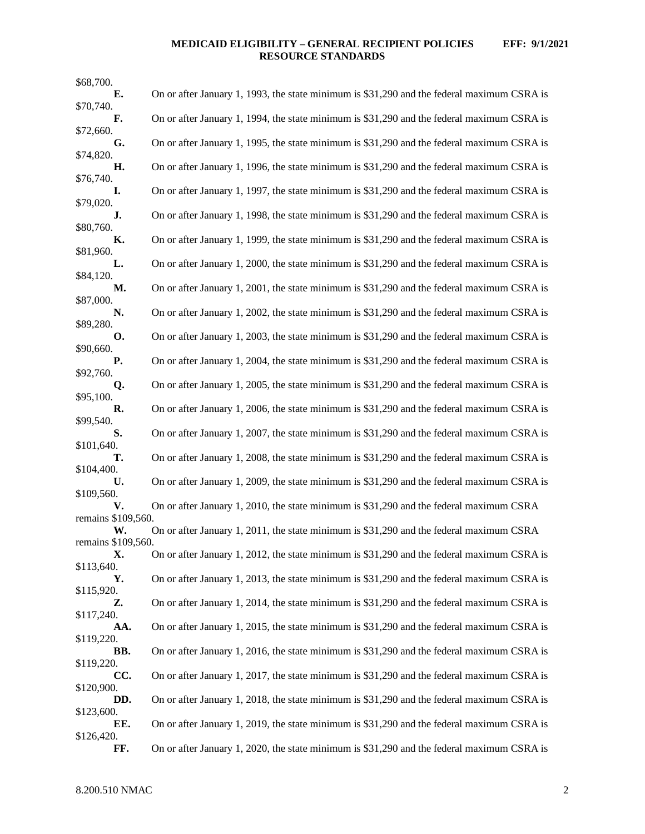# **MEDICAID ELIGIBILITY – GENERAL RECIPIENT POLICIES EFF: 9/1/2021 RESOURCE STANDARDS**

| \$68,700.                |                                                                                            |
|--------------------------|--------------------------------------------------------------------------------------------|
| Е.                       | On or after January 1, 1993, the state minimum is \$31,290 and the federal maximum CSRA is |
| \$70,740.<br>F.          | On or after January 1, 1994, the state minimum is \$31,290 and the federal maximum CSRA is |
| \$72,660.                |                                                                                            |
| G.                       | On or after January 1, 1995, the state minimum is \$31,290 and the federal maximum CSRA is |
| \$74,820.<br>Н.          | On or after January 1, 1996, the state minimum is \$31,290 and the federal maximum CSRA is |
| \$76,740.                |                                                                                            |
| I.<br>\$79,020.          | On or after January 1, 1997, the state minimum is \$31,290 and the federal maximum CSRA is |
| J.                       | On or after January 1, 1998, the state minimum is \$31,290 and the federal maximum CSRA is |
| \$80,760.                |                                                                                            |
| К.<br>\$81,960.          | On or after January 1, 1999, the state minimum is \$31,290 and the federal maximum CSRA is |
| L.                       | On or after January 1, 2000, the state minimum is \$31,290 and the federal maximum CSRA is |
| \$84,120.<br>М.          | On or after January 1, 2001, the state minimum is \$31,290 and the federal maximum CSRA is |
| \$87,000.                |                                                                                            |
| N.                       | On or after January 1, 2002, the state minimum is \$31,290 and the federal maximum CSRA is |
| \$89,280.<br>О.          | On or after January 1, 2003, the state minimum is \$31,290 and the federal maximum CSRA is |
| \$90,660.                |                                                                                            |
| Р.<br>\$92,760.          | On or after January 1, 2004, the state minimum is \$31,290 and the federal maximum CSRA is |
| Q.                       | On or after January 1, 2005, the state minimum is \$31,290 and the federal maximum CSRA is |
| \$95,100.                |                                                                                            |
| R.<br>\$99,540.          | On or after January 1, 2006, the state minimum is \$31,290 and the federal maximum CSRA is |
| S.                       | On or after January 1, 2007, the state minimum is \$31,290 and the federal maximum CSRA is |
| \$101,640.<br>т.         | On or after January 1, 2008, the state minimum is \$31,290 and the federal maximum CSRA is |
| \$104,400.               |                                                                                            |
| U.                       | On or after January 1, 2009, the state minimum is \$31,290 and the federal maximum CSRA is |
| \$109,560.<br>V.         | On or after January 1, 2010, the state minimum is \$31,290 and the federal maximum CSRA    |
| remains \$109,560.       |                                                                                            |
| W.<br>remains \$109,560. | On or after January 1, 2011, the state minimum is \$31,290 and the federal maximum CSRA    |
| Х.                       | On or after January 1, 2012, the state minimum is \$31,290 and the federal maximum CSRA is |
| \$113,640.               |                                                                                            |
| Υ.<br>\$115,920.         | On or after January 1, 2013, the state minimum is \$31,290 and the federal maximum CSRA is |
| Z.                       | On or after January 1, 2014, the state minimum is \$31,290 and the federal maximum CSRA is |
| \$117,240.<br>AA.        | On or after January 1, 2015, the state minimum is \$31,290 and the federal maximum CSRA is |
| \$119,220.               |                                                                                            |
| BB.<br>\$119,220.        | On or after January 1, 2016, the state minimum is \$31,290 and the federal maximum CSRA is |
| CC.                      | On or after January 1, 2017, the state minimum is \$31,290 and the federal maximum CSRA is |
| \$120,900.               |                                                                                            |
| DD.<br>\$123,600.        | On or after January 1, 2018, the state minimum is \$31,290 and the federal maximum CSRA is |
| EE.                      | On or after January 1, 2019, the state minimum is \$31,290 and the federal maximum CSRA is |
| \$126,420.<br>FF.        | On or after January 1, 2020, the state minimum is \$31,290 and the federal maximum CSRA is |
|                          |                                                                                            |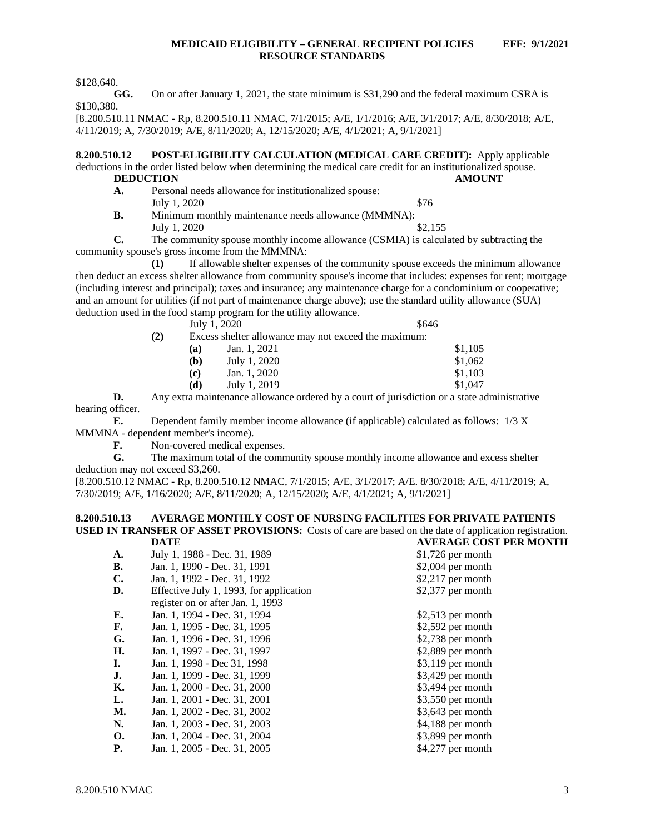\$128,640.

**GG.** On or after January 1, 2021, the state minimum is \$31,290 and the federal maximum CSRA is \$130,380.

[8.200.510.11 NMAC - Rp, 8.200.510.11 NMAC, 7/1/2015; A/E, 1/1/2016; A/E, 3/1/2017; A/E, 8/30/2018; A/E, 4/11/2019; A, 7/30/2019; A/E, 8/11/2020; A, 12/15/2020; A/E, 4/1/2021; A, 9/1/2021]

<span id="page-3-0"></span>**8.200.510.12 POST-ELIGIBILITY CALCULATION (MEDICAL CARE CREDIT):** Apply applicable deductions in the order listed below when determining the medical care credit for an institutionalized spouse.<br>DEDUCTION AMOUNT **DEDUCTION**<br>**A.** Person

- Personal needs allowance for institutionalized spouse: July 1, 2020  $\$76$
- **B.** Minimum monthly maintenance needs allowance (MMMNA): July 1, 2020  $\frac{$2,155}{ }$

**C.** The community spouse monthly income allowance (CSMIA) is calculated by subtracting the community spouse's gross income from the MMMNA:

**(1)** If allowable shelter expenses of the community spouse exceeds the minimum allowance then deduct an excess shelter allowance from community spouse's income that includes: expenses for rent; mortgage (including interest and principal); taxes and insurance; any maintenance charge for a condominium or cooperative; and an amount for utilities (if not part of maintenance charge above); use the standard utility allowance (SUA) deduction used in the food stamp program for the utility allowance.

July  $1, 2020$  \$646

**(2)** Excess shelter allowance may not exceed the maximum:

| (a) | Jan. 1, 2021 | \$1,105 |
|-----|--------------|---------|
| (b) | July 1, 2020 | \$1,062 |
| (c) | Jan. 1, 2020 | \$1,103 |
| (d) | July 1, 2019 | \$1,047 |
|     |              |         |

**D.** Any extra maintenance allowance ordered by a court of jurisdiction or a state administrative hearing officer.

**E.** Dependent family member income allowance (if applicable) calculated as follows: 1/3 X MMMNA - dependent member's income).<br> **F.** Non-covered medical ex

**F.** Non-covered medical expenses.<br>**G.** The maximum total of the comm

The maximum total of the community spouse monthly income allowance and excess shelter deduction may not exceed \$3,260.

[8.200.510.12 NMAC - Rp, 8.200.510.12 NMAC, 7/1/2015; A/E, 3/1/2017; A/E. 8/30/2018; A/E, 4/11/2019; A, 7/30/2019; A/E, 1/16/2020; A/E, 8/11/2020; A, 12/15/2020; A/E, 4/1/2021; A, 9/1/2021]

#### <span id="page-3-1"></span>**8.200.510.13 AVERAGE MONTHLY COST OF NURSING FACILITIES FOR PRIVATE PATIENTS USED IN TRANSFER OF ASSET PROVISIONS:** Costs of care are based on the date of application registration.<br>
DATE **DATE AVERAGE COST PER MONTH**

|                |                                         | <u>AVERIOL CODI I LI</u> |
|----------------|-----------------------------------------|--------------------------|
| A.             | July 1, 1988 - Dec. 31, 1989            | $$1,726$ per month       |
| <b>B.</b>      | Jan. 1, 1990 - Dec. 31, 1991            | $$2,004$ per month       |
| $\mathbf{C}$ . | Jan. 1, 1992 - Dec. 31, 1992            | $$2,217$ per month       |
| D.             | Effective July 1, 1993, for application | $$2,377$ per month       |
|                | register on or after Jan. 1, 1993       |                          |
| E.             | Jan. 1, 1994 - Dec. 31, 1994            | $$2,513$ per month       |
| F.             | Jan. 1, 1995 - Dec. 31, 1995            | \$2,592 per month        |
| G.             | Jan. 1, 1996 - Dec. 31, 1996            | $$2,738$ per month       |
| Н.             | Jan. 1, 1997 - Dec. 31, 1997            | $$2,889$ per month       |
| Ι.             | Jan. 1, 1998 - Dec 31, 1998             | $$3,119$ per month       |
| J.             | Jan. 1, 1999 - Dec. 31, 1999            | $$3,429$ per month       |
| К.             | Jan. 1, 2000 - Dec. 31, 2000            | $$3,494$ per month       |
| L.             | Jan. 1, 2001 - Dec. 31, 2001            | $$3,550$ per month       |
| М.             | Jan. 1, 2002 - Dec. 31, 2002            | $$3,643$ per month       |
| N.             | Jan. 1, 2003 - Dec. 31, 2003            | \$4,188 per month        |
| <b>O.</b>      | Jan. 1, 2004 - Dec. 31, 2004            | $$3,899$ per month       |
| <b>P.</b>      | Jan. 1, 2005 - Dec. 31, 2005            | $$4,277$ per month       |
|                |                                         |                          |